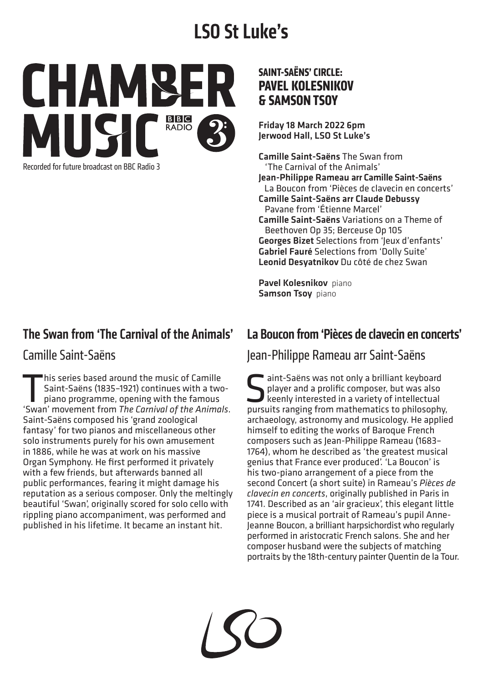# **LSO St Luke's**



Recorded for future broadcast on BBC Radio 3

#### The Swan from 'The Carnival of the Animals'

#### Camille Saint-Saëns

This series based around the music of Camille<br>Saint-Saëns (1835-1921) continues with a two<br>piano programme, opening with the famous<br>Swan' movement from The Carnival of the Anima Saint-Saëns (1835–1921) continues with a twopiano programme, opening with the famous 'Swan' movement from *The Carnival of the Animals*. Saint-Saëns composed his 'grand zoological fantasy' for two pianos and miscellaneous other solo instruments purely for his own amusement in 1886, while he was at work on his massive Organ Symphony. He first performed it privately with a few friends, but afterwards banned all public performances, fearing it might damage his reputation as a serious composer. Only the meltingly beautiful 'Swan', originally scored for solo cello with rippling piano accompaniment, was performed and published in his lifetime. It became an instant hit.

#### **SAINT-SAËNS' CIRCLE: PAVEL KOLESNIKOV & SAMSON TSOY**

Friday 18 March 2022 6pm Jerwood Hall, LSO St Luke's

Camille Saint-Saëns The Swan from 'The Carnival of the Animals' Jean-Philippe Rameau arr Camille Saint-Saëns La Boucon from 'Pièces de clavecin en concerts' Camille Saint-Saëns arr Claude Debussy Pavane from 'Étienne Marcel' Camille Saint-Saëns Variations on a Theme of Beethoven Op 35; Berceuse Op 105 Georges Bizet Selections from 'Jeux d'enfants' Gabriel Fauré Selections from 'Dolly Suite' Leonid Desyatnikov Du côté de chez Swan

Pavel Kolesnikov piano Samson Tsoy piano

#### La Boucon from 'Pièces de clavecin en concerts'

Jean-Philippe Rameau arr Saint-Saëns

Saëns was not only a brilliant keyboard<br>player and a prolific composer, but was also<br>keenly interested in a variety of intellectual<br>pursuits ranging from mathematics to philosophy player and a prolific composer, but was also keenly interested in a variety of intellectual pursuits ranging from mathematics to philosophy, archaeology, astronomy and musicology. He applied himself to editing the works of Baroque French composers such as Jean-Philippe Rameau (1683– 1764), whom he described as 'the greatest musical genius that France ever produced'. 'La Boucon' is his two-piano arrangement of a piece from the second Concert (a short suite) in Rameau's *Pièces de clavecin en concerts*, originally published in Paris in 1741. Described as an 'air gracieux', this elegant little piece is a musical portrait of Rameau's pupil Anne-Jeanne Boucon, a brilliant harpsichordist who regularly performed in aristocratic French salons. She and her composer husband were the subjects of matching portraits by the 18th-century painter Quentin de la Tour.

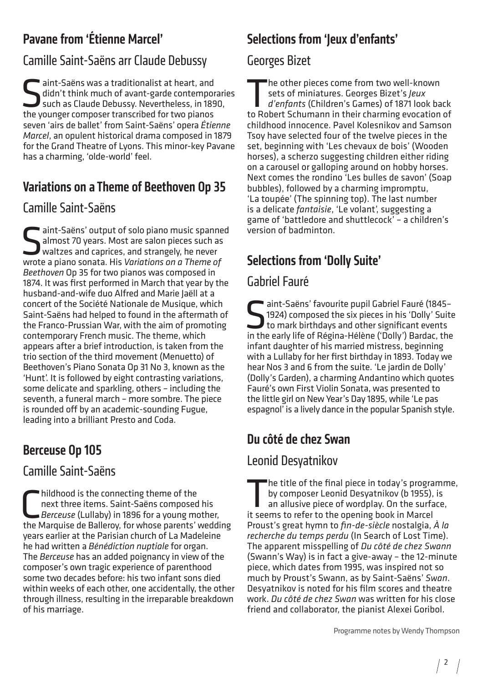# Pavane from 'Étienne Marcel'

# Camille Saint-Saëns arr Claude Debussy

Saëns was a traditionalist at heart, and<br>didn't think much of avant-garde contempor<br>such as Claude Debussy. Nevertheless, in 189<br>the younger composer transcribed for two pianos didn't think much of avant-garde contemporaries such as Claude Debussy. Nevertheless, in 1890, the younger composer transcribed for two pianos seven 'airs de ballet' from Saint-Saëns' opera *Étienne Marcel*, an opulent historical drama composed in 1879 for the Grand Theatre of Lyons. This minor-key Pavane has a charming, 'olde-world' feel.

# Variations on a Theme of Beethoven Op 35

### Camille Saint-Saëns

aint-Saëns' output of solo piano music spanned almost 70 years. Most are salon pieces such as waltzes and caprices, and strangely, he never wrote a piano sonata. His *Variations on a Theme of Beethoven* Op 35 for two pianos was composed in 1874. It was first performed in March that year by the husband-and-wife duo Alfred and Marie Jaëll at a concert of the Société Nationale de Musique, which Saint-Saëns had helped to found in the aftermath of the Franco-Prussian War, with the aim of promoting contemporary French music. The theme, which appears after a brief introduction, is taken from the trio section of the third movement (Menuetto) of Beethoven's Piano Sonata Op 31 No 3, known as the 'Hunt'. It is followed by eight contrasting variations, some delicate and sparkling, others – including the seventh, a funeral march – more sombre. The piece is rounded off by an academic-sounding Fugue, leading into a brilliant Presto and Coda.

# Berceuse Op 105

#### Camille Saint-Saëns

hildhood is the connecting theme of the<br>next three items. Saint-Saëns composed his<br>Berceuse (Lullaby) in 1896 for a young mother,<br>the Marquise de Balleroy, for whose parents' wedding hildhood is the connecting theme of the next three items. Saint-Saëns composed his *Berceuse* (Lullaby) in 1896 for a young mother, years earlier at the Parisian church of La Madeleine he had written a *Bénédiction nuptiale* for organ. The *Berceuse* has an added poignancy in view of the composer's own tragic experience of parenthood some two decades before: his two infant sons died within weeks of each other, one accidentally, the other through illness, resulting in the irreparable breakdown of his marriage.

# Selections from 'leux d'enfants'

#### Georges Bizet

The other pieces come from two well-known<br>sets of miniatures. Georges Bizet's *Jeux<br>d'enfants* (Children's Games) of 1871 look ba<br>to Pobert Schumann in their charming evocation sets of miniatures. Georges Bizet's *Jeux d'enfants* (Children's Games) of 1871 look back to Robert Schumann in their charming evocation of childhood innocence. Pavel Kolesnikov and Samson Tsoy have selected four of the twelve pieces in the set, beginning with 'Les chevaux de bois' (Wooden horses), a scherzo suggesting children either riding on a carousel or galloping around on hobby horses. Next comes the rondino 'Les bulles de savon' (Soap bubbles), followed by a charming impromptu, 'La toupée' (The spinning top). The last number is a delicate *fantaisie*, 'Le volant', suggesting a game of 'battledore and shuttlecock' – a children's version of badminton.

# Selections from 'Dolly Suite'

# Gabriel Fauré

Saëns' favourite pupil Gabriel Fauré (1845–1924) composed the six pieces in his 'Dolly' Suit to mark birthdays and other significant events in the early life of Pégina-Hélène ('Dolly') Bardac, the 1924) composed the six pieces in his 'Dolly' Suite to mark birthdays and other significant events in the early life of Régina-Hélène ('Dolly') Bardac, the infant daughter of his married mistress, beginning with a Lullaby for her first birthday in 1893. Today we hear Nos 3 and 6 from the suite. 'Le jardin de Dolly' (Dolly's Garden), a charming Andantino which quotes Fauré's own First Violin Sonata, was presented to the little girl on New Year's Day 1895, while 'Le pas espagnol' is a lively dance in the popular Spanish style.

# Du côté de chez Swan

# Leonid Desyatnikov

The title of the final piece in today's programme,<br>by composer Leonid Desyatnikov (b 1955), is<br>an allusive piece of wordplay. On the surface,<br>it seems to refer to the opening book in Marcel by composer Leonid Desyatnikov (b 1955), is an allusive piece of wordplay. On the surface, it seems to refer to the opening book in Marcel Proust's great hymn to *fin-de-siècle* nostalgia, *À la recherche du temps perdu* (In Search of Lost Time). The apparent misspelling of *Du côté de chez Swann* (Swann's Way) is in fact a give-away – the 12-minute piece, which dates from 1995, was inspired not so much by Proust's Swann, as by Saint-Saëns' *Swan*. Desyatnikov is noted for his film scores and theatre work. *Du côté de chez Swan* was written for his close friend and collaborator, the pianist Alexei Goribol.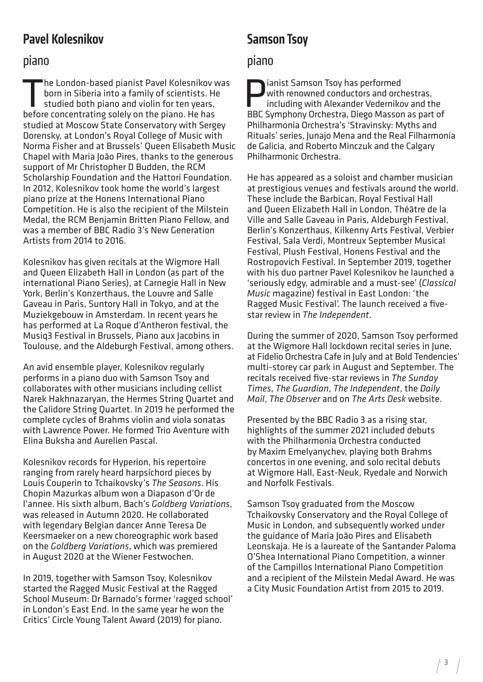#### Pavel Kolesnikov

#### piano

The London-based pianist Pavel Kolesnikov was born in Siberia into a family of scientists. He studied both piano and violin for ten years, before concentrating solely on the piano. He has studied at Moscow State Conservatory with Sergey Dorensky, at London's Royal College of Music with Norma Fisher and at Brussels' Queen Elisabeth Music Chapel with Maria João Pires, thanks to the generous support of Mr Christopher D Budden, the RCM Scholarship Foundation and the Hattori Foundation. In 2012, Kolesnikov took home the world's largest piano prize at the Honens International Piano Competition. He is also the recipient of the Milstein Medal, the RCM Benjamin Britten Piano Fellow, and was a member of BBC Radio 3's New Generation Artists from 2014 to 2016.

Kolesnikov has given recitals at the Wigmore Hall and Queen Elizabeth Hall in London (as part of the international Piano Series), at Carnegie Hall in New York, Berlin's Konzerthaus, the Louvre and Salle Gaveau in Paris, Suntory Hall in Tokyo, and at the Muziekgebouw in Amsterdam. In recent years he has performed at La Roque d'Antheron festival, the Musiq3 Festival in Brussels, Piano aux Jacobins in Toulouse, and the Aldeburgh Festival, among others.

An avid ensemble player, Kolesnikov regularly performs in a piano duo with Samson Tsoy and collaborates with other musicians including cellist Narek Hakhnazaryan, the Hermes String Quartet and the Calidore String Quartet. In 2019 he performed the complete cycles of Brahms violin and viola sonatas with Lawrence Power. He formed Trio Aventure with Elina Buksha and Aurelien Pascal.

Kolesnikov records for Hyperion, his repertoire ranging from rarely heard harpsichord pieces by Louis Couperin to Tchaikovsky's *The Seasons*. His Chopin Mazurkas album won a Diapason d'Or de l'annee. His sixth album, Bach's *Goldberg Variations*, was released in Autumn 2020. He collaborated with legendary Belgian dancer Anne Teresa De Keersmaeker on a new choreographic work based on the *Goldberg Variations*, which was premiered in August 2020 at the Wiener Festwochen.

In 2019, together with Samson Tsoy, Kolesnikov started the Ragged Music Festival at the Ragged School Museum: Dr Barnado's former 'ragged school' in London's East End. In the same year he won the Critics' Circle Young Talent Award (2019) for piano.

### Samson Tsoy

#### piano

ianist Samson Tsoy has performed with renowned conductors and orchestras, including with Alexander Vedernikov and the BBC Symphony Orchestra, Diego Masson as part of Philharmonia Orchestra's 'Stravinsky: Myths and Rituals' series, Junajo Mena and the Real Filharmonía de Galicia, and Roberto Minczuk and the Calgary Philharmonic Orchestra.

He has appeared as a soloist and chamber musician at prestigious venues and festivals around the world. These include the Barbican, Royal Festival Hall and Queen Elizabeth Hall in London, Théâtre de la Ville and Salle Gaveau in Paris, Aldeburgh Festival, Berlin's Konzerthaus, Kilkenny Arts Festival, Verbier Festival, Sala Verdi, Montreux September Musical Festival, Plush Festival, Honens Festival and the Rostropovich Festival. In September 2019, together with his duo partner Pavel Kolesnikov he launched a 'seriously edgy, admirable and a must-see' (*Classical Music* magazine) festival in East London: 'the Ragged Music Festival'. The launch received a fivestar review in *The Independent*.

During the summer of 2020, Samson Tsoy performed at the Wigmore Hall lockdown recital series in June, at Fidelio Orchestra Cafe in July and at Bold Tendencies' multi-storey car park in August and September. The recitals received five-star reviews in *The Sunday Times*, *The Guardian*, *The Independent*, the *Daily Mail*, *The Observer* and on *The Arts Desk* website.

Presented by the BBC Radio 3 as a rising star, highlights of the summer 2021 included debuts with the Philharmonia Orchestra conducted by Maxim Emelyanychev, playing both Brahms concertos in one evening, and solo recital debuts at Wigmore Hall, East-Neuk, Ryedale and Norwich and Norfolk Festivals.

Samson Tsoy graduated from the Moscow Tchaikovsky Conservatory and the Royal College of Music in London, and subsequently worked under the guidance of Maria João Pires and Elisabeth Leonskaja. He is a laureate of the Santander Paloma O'Shea International Piano Competition, a winner of the Campillos International Piano Competition and a recipient of the Milstein Medal Award. He was a City Music Foundation Artist from 2015 to 2019.